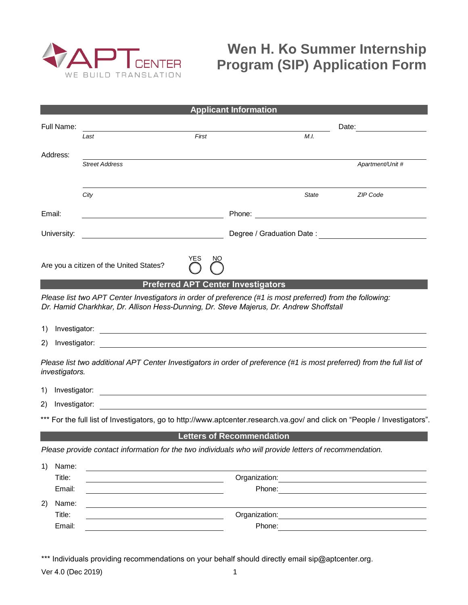

## **Wen H. Ko Summer Internship Program (SIP) Application Form**

| <b>Applicant Information</b>                                                                                                                                                                          |                                                                                                        |       |        |                           |                                                                                                                                                                                                                                |
|-------------------------------------------------------------------------------------------------------------------------------------------------------------------------------------------------------|--------------------------------------------------------------------------------------------------------|-------|--------|---------------------------|--------------------------------------------------------------------------------------------------------------------------------------------------------------------------------------------------------------------------------|
| Full Name:                                                                                                                                                                                            |                                                                                                        |       |        |                           |                                                                                                                                                                                                                                |
|                                                                                                                                                                                                       | Last                                                                                                   | First |        | M.I.                      |                                                                                                                                                                                                                                |
| Address:                                                                                                                                                                                              |                                                                                                        |       |        |                           |                                                                                                                                                                                                                                |
|                                                                                                                                                                                                       | <b>Street Address</b>                                                                                  |       |        |                           | Apartment/Unit #                                                                                                                                                                                                               |
|                                                                                                                                                                                                       |                                                                                                        |       |        |                           |                                                                                                                                                                                                                                |
|                                                                                                                                                                                                       | City                                                                                                   |       |        | State                     | ZIP Code                                                                                                                                                                                                                       |
| Email:                                                                                                                                                                                                |                                                                                                        |       |        |                           |                                                                                                                                                                                                                                |
| University:                                                                                                                                                                                           |                                                                                                        |       |        | Degree / Graduation Date: |                                                                                                                                                                                                                                |
|                                                                                                                                                                                                       | <u> 1980 - Johann Barn, mars eta biztanleria (</u>                                                     |       |        |                           |                                                                                                                                                                                                                                |
|                                                                                                                                                                                                       | YES                                                                                                    | NΟ    |        |                           |                                                                                                                                                                                                                                |
|                                                                                                                                                                                                       | Are you a citizen of the United States?                                                                |       |        |                           |                                                                                                                                                                                                                                |
| <b>Preferred APT Center Investigators</b>                                                                                                                                                             |                                                                                                        |       |        |                           |                                                                                                                                                                                                                                |
| Please list two APT Center Investigators in order of preference (#1 is most preferred) from the following:<br>Dr. Hamid Charkhkar, Dr. Allison Hess-Dunning, Dr. Steve Majerus, Dr. Andrew Shoffstall |                                                                                                        |       |        |                           |                                                                                                                                                                                                                                |
|                                                                                                                                                                                                       |                                                                                                        |       |        |                           |                                                                                                                                                                                                                                |
| Investigator:<br>1)<br><u> 1989 - Johann Barn, amerikansk politiker (d. 1989)</u>                                                                                                                     |                                                                                                        |       |        |                           |                                                                                                                                                                                                                                |
| Investigator:<br>(2)                                                                                                                                                                                  |                                                                                                        |       |        |                           |                                                                                                                                                                                                                                |
| Please list two additional APT Center Investigators in order of preference (#1 is most preferred) from the full list of<br><i>investigators.</i>                                                      |                                                                                                        |       |        |                           |                                                                                                                                                                                                                                |
| Investigator:<br>1)<br><u> 1989 - Johann Barnett, fransk politiker (d. 1989)</u>                                                                                                                      |                                                                                                        |       |        |                           |                                                                                                                                                                                                                                |
| 2)<br>Investigator:                                                                                                                                                                                   |                                                                                                        |       |        |                           |                                                                                                                                                                                                                                |
| *** For the full list of Investigators, go to http://www.aptcenter.research.va.gov/ and click on "People / Investigators".                                                                            |                                                                                                        |       |        |                           |                                                                                                                                                                                                                                |
| <b>Letters of Recommendation</b>                                                                                                                                                                      |                                                                                                        |       |        |                           |                                                                                                                                                                                                                                |
|                                                                                                                                                                                                       | Please provide contact information for the two individuals who will provide letters of recommendation. |       |        |                           |                                                                                                                                                                                                                                |
| 1)<br>Name:                                                                                                                                                                                           |                                                                                                        |       |        |                           |                                                                                                                                                                                                                                |
| Title:                                                                                                                                                                                                |                                                                                                        |       |        |                           |                                                                                                                                                                                                                                |
| Email:                                                                                                                                                                                                |                                                                                                        |       | Phone: |                           |                                                                                                                                                                                                                                |
| Name:<br>2)                                                                                                                                                                                           |                                                                                                        |       |        |                           |                                                                                                                                                                                                                                |
| Title:                                                                                                                                                                                                |                                                                                                        |       |        |                           | Organization: experience of the state of the state of the state of the state of the state of the state of the state of the state of the state of the state of the state of the state of the state of the state of the state of |
| Email:                                                                                                                                                                                                |                                                                                                        |       | Phone: |                           |                                                                                                                                                                                                                                |

\*\*\* Individuals providing recommendations on your behalf should directly email sip@aptcenter.org.

Ver 4.0 (Dec 2019) 1